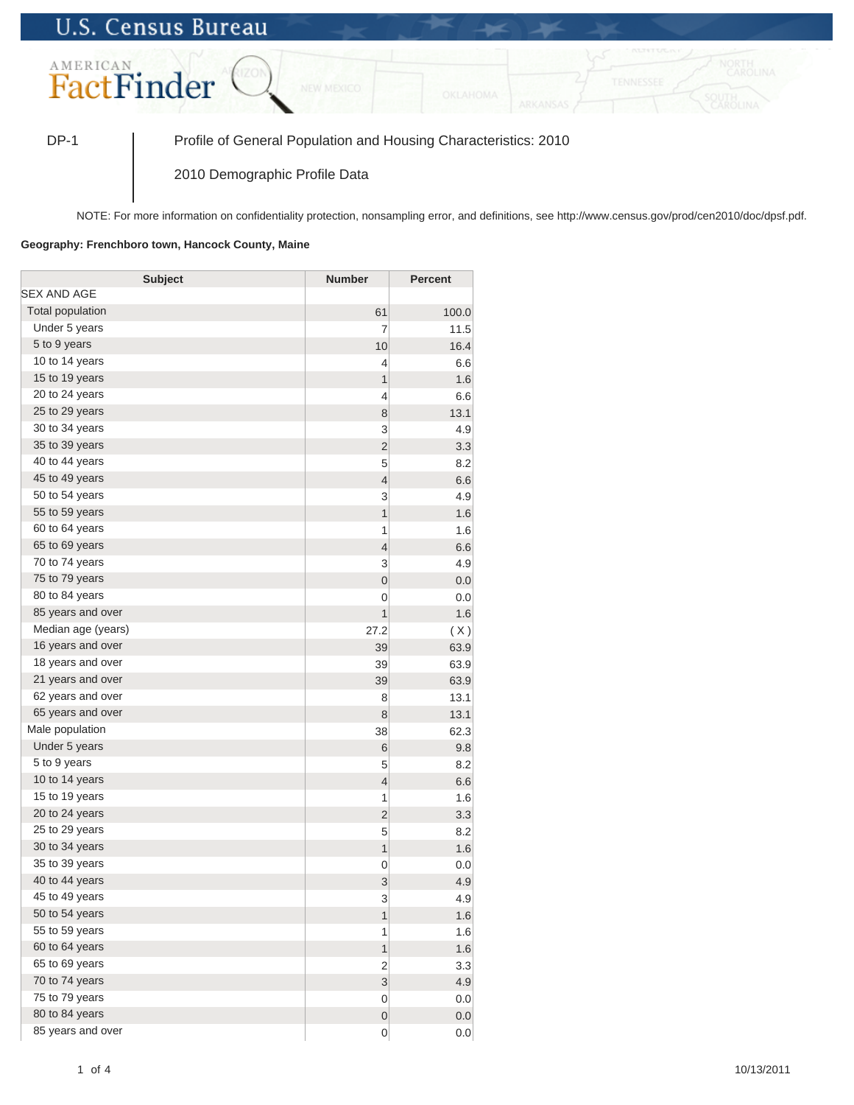## **U.S. Census Bureau**



DP-1 Profile of General Population and Housing Characteristics: 2010

2010 Demographic Profile Data

NOTE: For more information on confidentiality protection, nonsampling error, and definitions, see http://www.census.gov/prod/cen2010/doc/dpsf.pdf.

## **Geography: Frenchboro town, Hancock County, Maine**

| <b>Subject</b>          | <b>Number</b>           | <b>Percent</b> |
|-------------------------|-------------------------|----------------|
| SEX AND AGE             |                         |                |
| <b>Total population</b> | 61                      | 100.0          |
| Under 5 years           | 7                       | 11.5           |
| 5 to 9 years            | 10                      | 16.4           |
| 10 to 14 years          | 4                       | 6.6            |
| 15 to 19 years          | 1                       | 1.6            |
| 20 to 24 years          | 4                       | 6.6            |
| 25 to 29 years          | 8                       | 13.1           |
| 30 to 34 years          | 3                       | 4.9            |
| 35 to 39 years          | $\overline{2}$          | 3.3            |
| 40 to 44 years          | 5                       | 8.2            |
| 45 to 49 years          | $\overline{4}$          | 6.6            |
| 50 to 54 years          | 3                       | 4.9            |
| 55 to 59 years          | 1                       | 1.6            |
| 60 to 64 years          | 1                       | 1.6            |
| 65 to 69 years          | $\overline{4}$          | 6.6            |
| 70 to 74 years          | 3                       | 4.9            |
| 75 to 79 years          | $\mathbf 0$             | 0.0            |
| 80 to 84 years          | 0                       | 0.0            |
| 85 years and over       | 1                       | 1.6            |
| Median age (years)      | 27.2                    | (X)            |
| 16 years and over       | 39                      | 63.9           |
| 18 years and over       | 39                      | 63.9           |
| 21 years and over       | 39                      | 63.9           |
| 62 years and over       | 8                       | 13.1           |
| 65 years and over       | 8                       | 13.1           |
| Male population         | 38                      | 62.3           |
| Under 5 years           | 6                       | 9.8            |
| 5 to 9 years            | 5                       | 8.2            |
| 10 to 14 years          | $\overline{4}$          | 6.6            |
| 15 to 19 years          | 1                       | 1.6            |
| 20 to 24 years          | $\overline{2}$          | 3.3            |
| 25 to 29 years          | 5                       | 8.2            |
| 30 to 34 years          | 1                       | 1.6            |
| 35 to 39 years          | 0                       | 0.0            |
| 40 to 44 years          | 3                       | 4.9            |
| 45 to 49 years          | 3                       | 4.9            |
| 50 to 54 years          | $\overline{\mathbf{1}}$ | 1.6            |
| 55 to 59 years          | 1                       | 1.6            |
| 60 to 64 years          | 1                       | 1.6            |
| 65 to 69 years          | 2                       | 3.3            |
| 70 to 74 years          | 3                       | 4.9            |
| 75 to 79 years          | 0                       | 0.0            |
| 80 to 84 years          | $\pmb{0}$               | 0.0            |
| 85 years and over       | 0                       | 0.0            |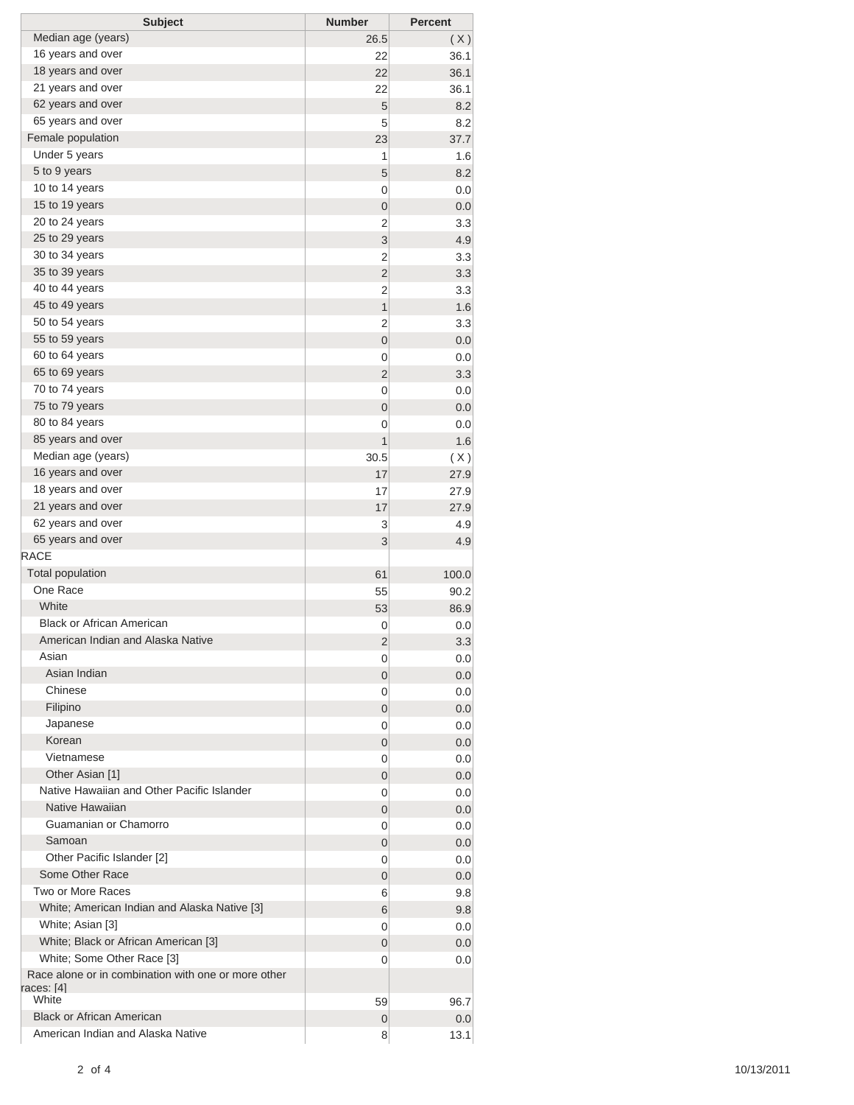| <b>Subject</b>                                      | <b>Number</b>  | <b>Percent</b> |
|-----------------------------------------------------|----------------|----------------|
| Median age (years)                                  | 26.5           | (X)            |
| 16 years and over                                   | 22             | 36.1           |
| 18 years and over                                   | 22             | 36.1           |
| 21 years and over                                   | 22             | 36.1           |
| 62 years and over                                   | 5              | 8.2            |
| 65 years and over                                   | 5              | 8.2            |
| Female population                                   | 23             | 37.7           |
| Under 5 years                                       | 1              | 1.6            |
| 5 to 9 years                                        | 5              | 8.2            |
| 10 to 14 years                                      | 0              | 0.0            |
| 15 to 19 years                                      | 0              | 0.0            |
| 20 to 24 years                                      | 2              | 3.3            |
| 25 to 29 years                                      | 3              | 4.9            |
| 30 to 34 years                                      | 2              | 3.3            |
| 35 to 39 years                                      | $\overline{2}$ | 3.3            |
| 40 to 44 years                                      | 2              | 3.3            |
| 45 to 49 years                                      | 1              | 1.6            |
| 50 to 54 years                                      | 2              | 3.3            |
| 55 to 59 years                                      | $\mathbf 0$    | 0.0            |
| 60 to 64 years                                      | 0              | 0.0            |
| 65 to 69 years                                      | $\overline{2}$ | 3.3            |
| 70 to 74 years                                      | 0              | 0.0            |
| 75 to 79 years                                      | $\mathbf 0$    | 0.0            |
| 80 to 84 years                                      | 0              | 0.0            |
| 85 years and over                                   | 1              | 1.6            |
| Median age (years)                                  | 30.5           | (X)            |
| 16 years and over                                   | 17             | 27.9           |
| 18 years and over                                   | 17             | 27.9           |
| 21 years and over                                   | 17             | 27.9           |
| 62 years and over                                   | 3              | 4.9            |
| 65 years and over                                   | 3              | 4.9            |
| <b>RACE</b>                                         |                |                |
| <b>Total population</b>                             | 61             | 100.0          |
| One Race                                            | 55             | 90.2           |
| White                                               | 53             | 86.9           |
| <b>Black or African American</b>                    | 0              | 0.0            |
| American Indian and Alaska Native                   | 2              | 3.3            |
| Asian                                               | 0              | 0.0            |
| Asian Indian                                        | 0              | 0.0            |
| Chinese                                             | 0              | 0.0            |
| Filipino<br>Japanese                                | 0              | 0.0            |
| Korean                                              | 0              | 0.0            |
| Vietnamese                                          | 0              | 0.0            |
| Other Asian [1]                                     | 0              | 0.0            |
| Native Hawaiian and Other Pacific Islander          | 0              | 0.0            |
| Native Hawaiian                                     | 0              | 0.0            |
| Guamanian or Chamorro                               | 0<br>0         | 0.0<br>0.0     |
| Samoan                                              | 0              | 0.0            |
| Other Pacific Islander [2]                          | 0              | 0.0            |
| Some Other Race                                     | 0              | 0.0            |
| Two or More Races                                   | 6              | 9.8            |
| White; American Indian and Alaska Native [3]        | 6              | 9.8            |
| White; Asian [3]                                    | 0              | 0.0            |
| White; Black or African American [3]                | 0              | 0.0            |
| White; Some Other Race [3]                          | 0              | 0.0            |
| Race alone or in combination with one or more other |                |                |
| races: [4]                                          |                |                |
| White                                               | 59             | 96.7           |
| <b>Black or African American</b>                    | 0              | 0.0            |
| American Indian and Alaska Native                   | 8              | 13.1           |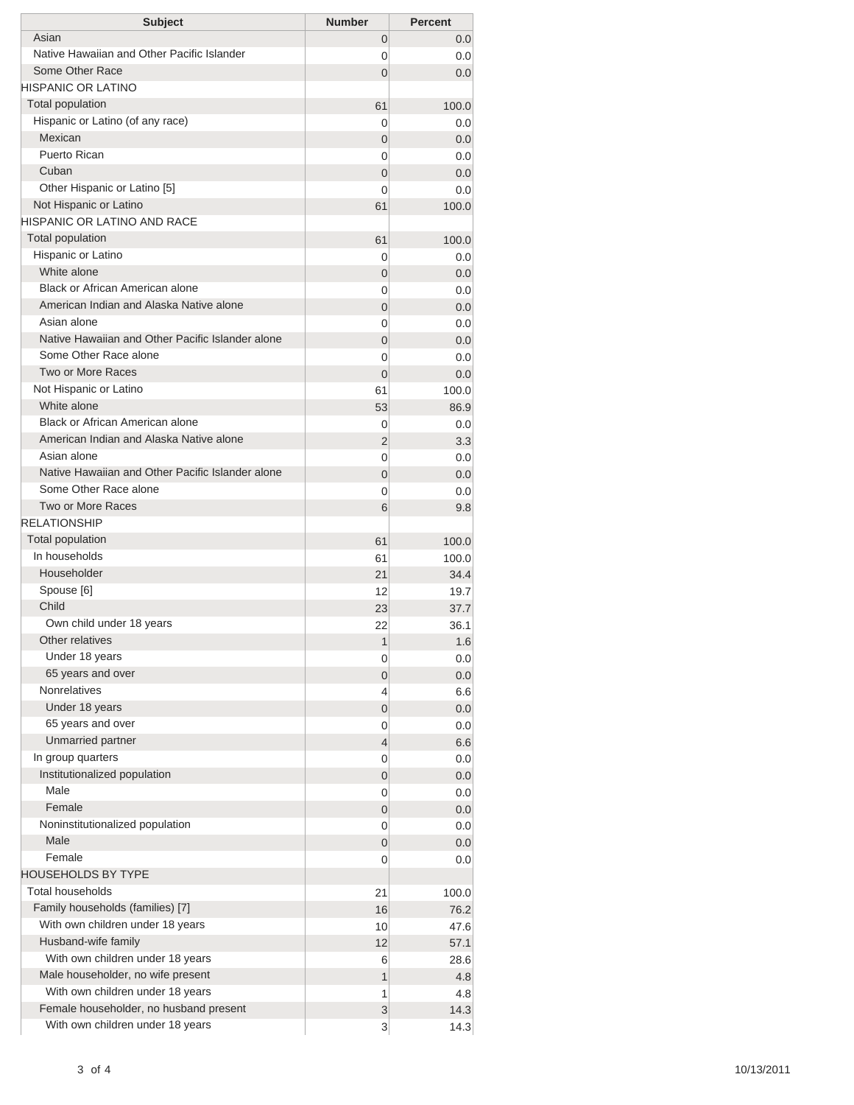| <b>Subject</b>                                                            | <b>Number</b>   | <b>Percent</b> |
|---------------------------------------------------------------------------|-----------------|----------------|
| Asian                                                                     | 0               | 0.0            |
| Native Hawaiian and Other Pacific Islander                                | 0               | 0.0            |
| Some Other Race                                                           | 0               | 0.0            |
| HISPANIC OR LATINO                                                        |                 |                |
| <b>Total population</b>                                                   | 61              | 100.0          |
| Hispanic or Latino (of any race)                                          | 0               | 0.0            |
| Mexican                                                                   | 0               | 0.0            |
| Puerto Rican                                                              | 0               | 0.0            |
| Cuban                                                                     | 0               | 0.0            |
| Other Hispanic or Latino [5]                                              | 0               | 0.0            |
| Not Hispanic or Latino                                                    | 61              | 100.0          |
| HISPANIC OR LATINO AND RACE                                               |                 |                |
| <b>Total population</b>                                                   | 61              | 100.0          |
| Hispanic or Latino                                                        | 0               | 0.0            |
| White alone                                                               | 0               | 0.0            |
| Black or African American alone                                           | 0               | 0.0            |
| American Indian and Alaska Native alone                                   | 0               | 0.0            |
| Asian alone                                                               | 0               | 0.0            |
| Native Hawaiian and Other Pacific Islander alone                          | 0               | 0.0            |
| Some Other Race alone                                                     | 0               | 0.0            |
| Two or More Races                                                         | 0               | 0.0            |
| Not Hispanic or Latino                                                    | 61              | 100.0          |
| White alone                                                               | 53              | 86.9           |
| Black or African American alone                                           | 0               | 0.0            |
| American Indian and Alaska Native alone                                   | 2               | 3.3            |
| Asian alone                                                               | 0               | 0.0            |
| Native Hawaiian and Other Pacific Islander alone<br>Some Other Race alone | 0               | 0.0            |
| <b>Two or More Races</b>                                                  | 0               | 0.0            |
| <b>RELATIONSHIP</b>                                                       | 6               | 9.8            |
| <b>Total population</b>                                                   |                 |                |
| In households                                                             | 61              | 100.0          |
| Householder                                                               | 61              | 100.0          |
| Spouse [6]                                                                | 21              | 34.4           |
| Child                                                                     | 12              | 19.7           |
| Own child under 18 years                                                  | 23              | 37.7           |
| Other relatives                                                           | 22              | 36.1           |
| Under 18 years                                                            | 1               | 1.6            |
| 65 years and over                                                         | 0<br>0          | 0.0<br>0.0     |
| <b>Nonrelatives</b>                                                       | 4               | 6.6            |
| Under 18 years                                                            | 0               | 0.0            |
| 65 years and over                                                         | 0               | 0.0            |
| Unmarried partner                                                         | 4               | 6.6            |
| In group quarters                                                         | 0               | 0.0            |
| Institutionalized population                                              | 0               | 0.0            |
| Male                                                                      | 0               | 0.0            |
| Female                                                                    | 0               | 0.0            |
| Noninstitutionalized population                                           | 0               | 0.0            |
| Male                                                                      | 0               | 0.0            |
| Female                                                                    | 0               | 0.0            |
| <b>HOUSEHOLDS BY TYPE</b>                                                 |                 |                |
| <b>Total households</b>                                                   | 21              | 100.0          |
| Family households (families) [7]                                          | 16              | 76.2           |
| With own children under 18 years                                          | 10 <sup>1</sup> | 47.6           |
| Husband-wife family                                                       | 12              | 57.1           |
| With own children under 18 years                                          | 6               | 28.6           |
| Male householder, no wife present                                         | 1               | 4.8            |
| With own children under 18 years                                          | 1               | 4.8            |
| Female householder, no husband present                                    | 3               | 14.3           |
| With own children under 18 years                                          | 3               | 14.3           |
|                                                                           |                 |                |